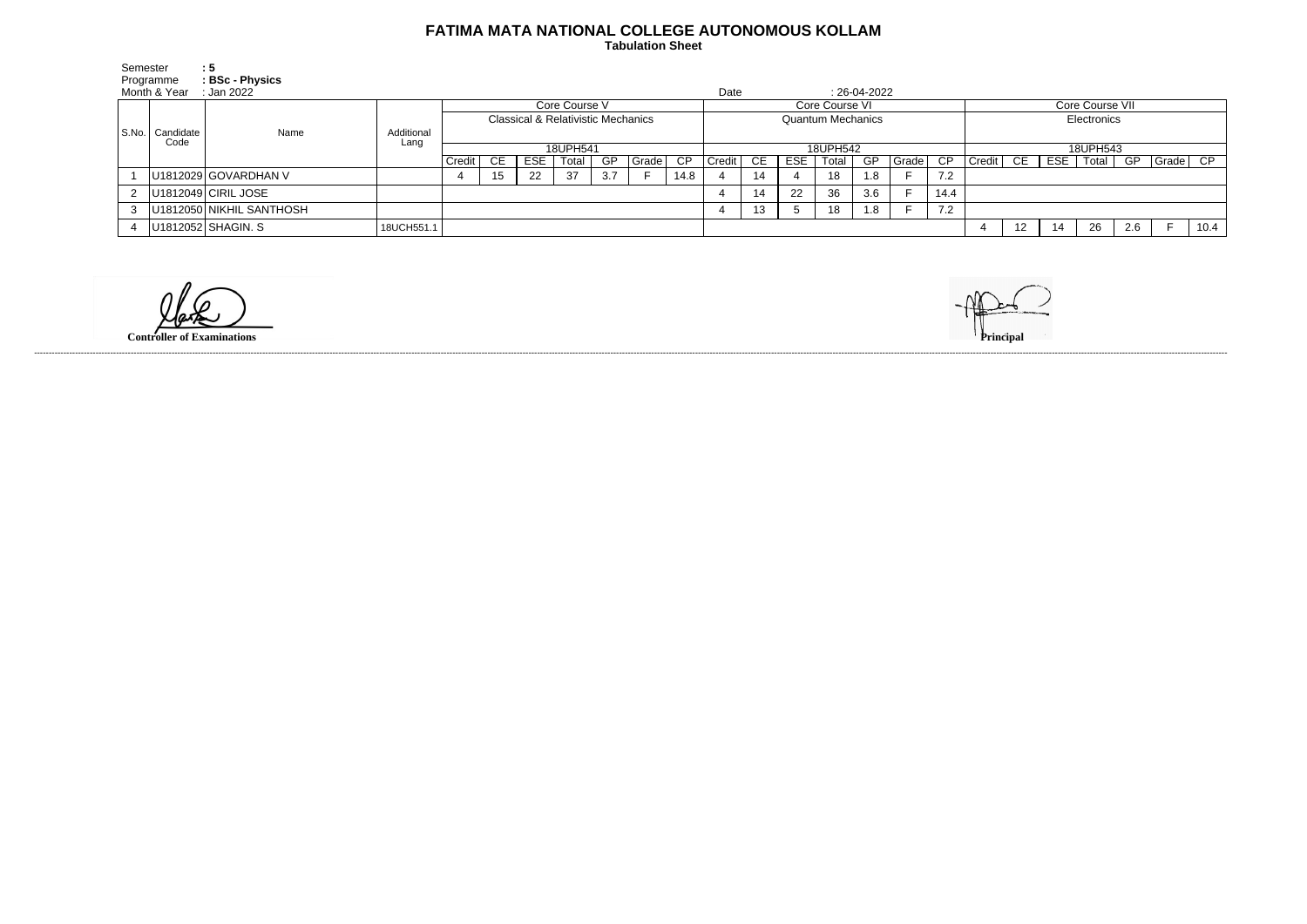## **FATIMA MATA NATIONAL COLLEGE AUTONOMOUS KOLLAM**

 **Tabulation Sheet** 

| Semester  |                   | : 5                      |            |                                               |     |            |       |           |       |                 |                          |     |            |       |                |       |                 |                 |                 |     |    |     |                         |      |
|-----------|-------------------|--------------------------|------------|-----------------------------------------------|-----|------------|-------|-----------|-------|-----------------|--------------------------|-----|------------|-------|----------------|-------|-----------------|-----------------|-----------------|-----|----|-----|-------------------------|------|
|           | Programme         | : BSc - Physics          |            |                                               |     |            |       |           |       |                 |                          |     |            |       |                |       |                 |                 |                 |     |    |     |                         |      |
|           | Month & Year      | :Jan 2022                |            |                                               |     |            |       |           |       |                 | Date                     |     |            |       | $: 26-04-2022$ |       |                 |                 |                 |     |    |     |                         |      |
|           | Candidate<br>Code | Name                     |            | Core Course V                                 |     |            |       |           |       |                 | Core Course VI           |     |            |       |                |       |                 | Core Course VII |                 |     |    |     |                         |      |
|           |                   |                          |            | <b>Classical &amp; Relativistic Mechanics</b> |     |            |       |           |       |                 | <b>Quantum Mechanics</b> |     |            |       |                |       |                 | Electronics     |                 |     |    |     |                         |      |
| l S.No. l |                   |                          | Additional |                                               |     |            |       |           |       |                 |                          |     |            |       |                |       |                 |                 |                 |     |    |     |                         |      |
|           |                   |                          | Lang       | 18UPH541                                      |     |            |       |           |       | 18UPH542        |                          |     |            |       |                |       | 18UPH543        |                 |                 |     |    |     |                         |      |
|           |                   |                          |            | Credit                                        | CE. | <b>ESE</b> | Total | <b>GP</b> | Grade | $\overline{CP}$ | Credit                   | CE. | <b>ESE</b> | Total | GP.            | Grade | $\overline{CP}$ | Credit          | CE              | ESE |    |     | Total   GP   Grade   CP |      |
|           |                   | U1812029 GOVARDHAN V     |            |                                               | 15. | 22         | 37    | 3.7       |       | 14.8            |                          | 14  |            | 18    | 1.8            |       | 7.2             |                 |                 |     |    |     |                         |      |
| 2         |                   | U1812049 CIRIL JOSE      |            |                                               |     |            |       |           |       |                 |                          | 14  | 22         | 36    | 3.6            |       | 14.4            |                 |                 |     |    |     |                         |      |
| 3         |                   | U1812050 NIKHIL SANTHOSH |            |                                               |     |            |       |           |       |                 |                          | 13  |            | 18    | 1.8            |       | 7.2             |                 |                 |     |    |     |                         |      |
|           |                   | U1812052 SHAGIN. S       | 18UCH551.1 |                                               |     |            |       |           |       |                 |                          |     |            |       |                |       |                 |                 | 12 <sup>°</sup> |     | 26 | 2.6 |                         | 10.4 |
|           |                   |                          |            |                                               |     |            |       |           |       |                 |                          |     |            |       |                |       |                 |                 |                 |     |    |     |                         |      |

**Controller of Examinations** 



------------------------------------------------------------------------------------------------------------------------------------------------------------------------------------------------------------------------------------------------------------------------------------------------------------------------------------------------------------------------------------------------------------------------